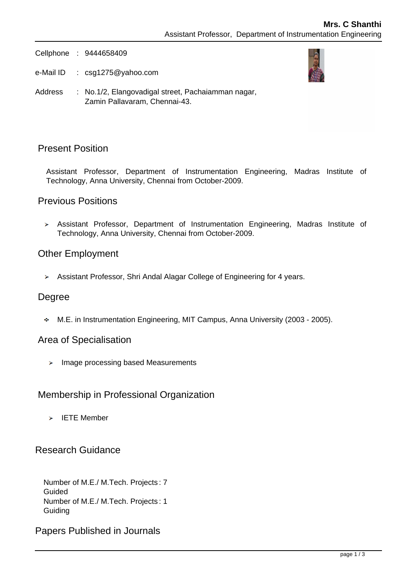Cellphone : 9444658409

e-Mail ID : csg1275@yahoo.com



Address : No.1/2, Elangovadigal street, Pachaiamman nagar, Zamin Pallavaram, Chennai-43.

## Present Position

Assistant Professor, Department of Instrumentation Engineering, Madras Institute of Technology, Anna University, Chennai from October-2009.

#### Previous Positions

Assistant Professor, Department of Instrumentation Engineering, Madras Institute of Technology, Anna University, Chennai from October-2009.

#### Other Employment

Assistant Professor, Shri Andal Alagar College of Engineering for 4 years.

#### Degree

M.E. in Instrumentation Engineering, MIT Campus, Anna University (2003 - 2005).

#### Area of Specialisation

 $\triangleright$  Image processing based Measurements

## Membership in Professional Organization

 $\triangleright$  IETE Member

## Research Guidance

Number of M.E./ M.Tech. Projects : 7 Guided Number of M.E./ M.Tech. Projects : 1 **Guiding** 

Papers Published in Journals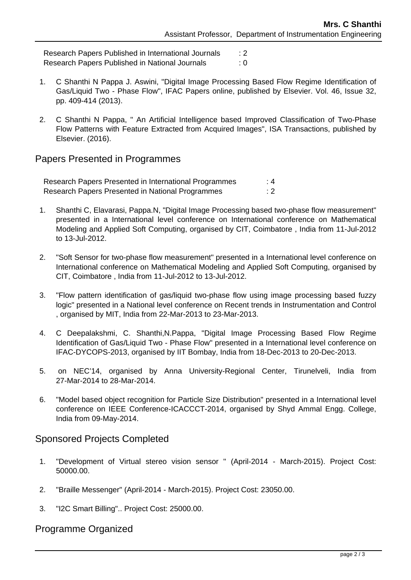Research Papers Published in International Journals : 2 Research Papers Published in National Journals : 0

- 1. C Shanthi N Pappa J. Aswini, "Digital Image Processing Based Flow Regime Identification of Gas/Liquid Two - Phase Flow", IFAC Papers online, published by Elsevier. Vol. 46, Issue 32, pp. 409-414 (2013).
- 2. C Shanthi N Pappa, " An Artificial Intelligence based Improved Classification of Two-Phase Flow Patterns with Feature Extracted from Acquired Images", ISA Transactions, published by Elsevier. (2016).

## Papers Presented in Programmes

| Research Papers Presented in International Programmes | : 4 |
|-------------------------------------------------------|-----|
| Research Papers Presented in National Programmes      | : 2 |

- 1. Shanthi C, Elavarasi, Pappa.N, "Digital Image Processing based two-phase flow measurement" presented in a International level conference on International conference on Mathematical Modeling and Applied Soft Computing, organised by CIT, Coimbatore , India from 11-Jul-2012 to 13-Jul-2012.
- 2. "Soft Sensor for two-phase flow measurement" presented in a International level conference on International conference on Mathematical Modeling and Applied Soft Computing, organised by CIT, Coimbatore , India from 11-Jul-2012 to 13-Jul-2012.
- 3. "Flow pattern identification of gas/liquid two-phase flow using image processing based fuzzy logic" presented in a National level conference on Recent trends in Instrumentation and Control , organised by MIT, India from 22-Mar-2013 to 23-Mar-2013.
- 4. C Deepalakshmi, C. Shanthi,N.Pappa, "Digital Image Processing Based Flow Regime Identification of Gas/Liquid Two - Phase Flow" presented in a International level conference on IFAC-DYCOPS-2013, organised by IIT Bombay, India from 18-Dec-2013 to 20-Dec-2013.
- 5. on NEC'14, organised by Anna University-Regional Center, Tirunelveli, India from 27-Mar-2014 to 28-Mar-2014.
- 6. "Model based object recognition for Particle Size Distribution" presented in a International level conference on IEEE Conference-ICACCCT-2014, organised by Shyd Ammal Engg. College, India from 09-May-2014.

# Sponsored Projects Completed

- 1. "Development of Virtual stereo vision sensor " (April-2014 March-2015). Project Cost: 50000.00.
- 2. "Braille Messenger" (April-2014 March-2015). Project Cost: 23050.00.
- 3. "I2C Smart Billing".. Project Cost: 25000.00.

# Programme Organized